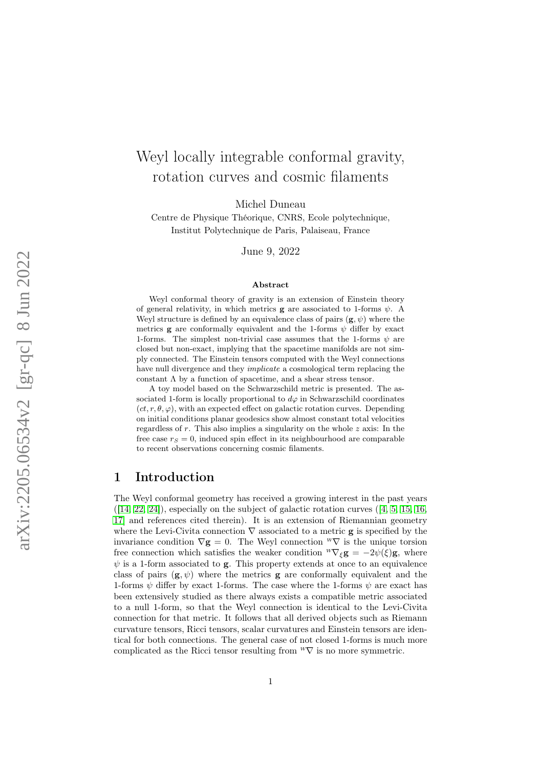# Weyl locally integrable conformal gravity, rotation curves and cosmic filaments

Michel Duneau

Centre de Physique Théorique, CNRS, Ecole polytechnique, Institut Polytechnique de Paris, Palaiseau, France

June 9, 2022

#### Abstract

Weyl conformal theory of gravity is an extension of Einstein theory of general relativity, in which metrics **g** are associated to 1-forms  $\psi$ . A Weyl structure is defined by an equivalence class of pairs  $(g, \psi)$  where the metrics **g** are conformally equivalent and the 1-forms  $\psi$  differ by exact 1-forms. The simplest non-trivial case assumes that the 1-forms  $\psi$  are closed but non-exact, implying that the spacetime manifolds are not simply connected. The Einstein tensors computed with the Weyl connections have null divergence and they *implicate* a cosmological term replacing the constant  $\Lambda$  by a function of spacetime, and a shear stress tensor.

A toy model based on the Schwarzschild metric is presented. The associated 1-form is locally proportional to  $d\varphi$  in Schwarzschild coordinates  $(ct, r, \theta, \varphi)$ , with an expected effect on galactic rotation curves. Depending on initial conditions planar geodesics show almost constant total velocities regardless of  $r$ . This also implies a singularity on the whole  $z$  axis: In the free case  $r_s = 0$ , induced spin effect in its neighbourhood are comparable to recent observations concerning cosmic filaments.

## 1 Introduction

The Weyl conformal geometry has received a growing interest in the past years  $([14, 22, 24])$  $([14, 22, 24])$  $([14, 22, 24])$  $([14, 22, 24])$  $([14, 22, 24])$ , especially on the subject of galactic rotation curves  $([4, 5, 15, 16,$  $([4, 5, 15, 16,$  $([4, 5, 15, 16,$  $([4, 5, 15, 16,$  $([4, 5, 15, 16,$ [17\]](#page-10-3) and references cited therein). It is an extension of Riemannian geometry where the Levi-Civita connection  $\nabla$  associated to a metric **g** is specified by the invariance condition  $\nabla$ **g** = 0. The Weyl connection  $^W\nabla$  is the unique torsion free connection which satisfies the weaker condition  ${}^W\nabla_{\xi}$ **g** =  $-2\psi(\xi)$ **g**, where  $\psi$  is a 1-form associated to **g**. This property extends at once to an equivalence class of pairs  $(g, \psi)$  where the metrics g are conformally equivalent and the 1-forms  $\psi$  differ by exact 1-forms. The case where the 1-forms  $\psi$  are exact has been extensively studied as there always exists a compatible metric associated to a null 1-form, so that the Weyl connection is identical to the Levi-Civita connection for that metric. It follows that all derived objects such as Riemann curvature tensors, Ricci tensors, scalar curvatures and Einstein tensors are identical for both connections. The general case of not closed 1-forms is much more complicated as the Ricci tensor resulting from  ${}^W\nabla$  is no more symmetric.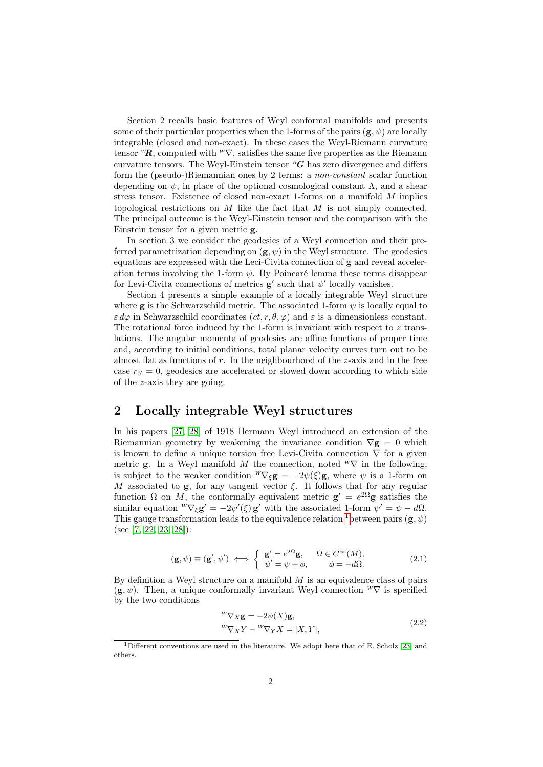Section 2 recalls basic features of Weyl conformal manifolds and presents some of their particular properties when the 1-forms of the pairs  $(g, \psi)$  are locally integrable (closed and non-exact). In these cases the Weyl-Riemann curvature tensor  ${}^w{\!}R$ , computed with  ${}^w\nabla$ , satisfies the same five properties as the Riemann curvature tensors. The Weyl-Einstein tensor  $^{W}G$  has zero divergence and differs form the (pseudo-)Riemannian ones by 2 terms: a non-constant scalar function depending on  $\psi$ , in place of the optional cosmological constant  $\Lambda$ , and a shear stress tensor. Existence of closed non-exact 1-forms on a manifold M implies topological restrictions on  $M$  like the fact that  $M$  is not simply connected. The principal outcome is the Weyl-Einstein tensor and the comparison with the Einstein tensor for a given metric g.

In section 3 we consider the geodesics of a Weyl connection and their preferred parametrization depending on  $(\mathbf{g}, \psi)$  in the Weyl structure. The geodesics equations are expressed with the Leci-Civita connection of g and reveal acceleration terms involving the 1-form  $\psi$ . By Poincaré lemma these terms disappear for Levi-Civita connections of metrics  $g'$  such that  $\psi'$  locally vanishes.

Section 4 presents a simple example of a locally integrable Weyl structure where **g** is the Schwarzschild metric. The associated 1-form  $\psi$  is locally equal to  $\varepsilon d\varphi$  in Schwarzschild coordinates  $(ct, r, \theta, \varphi)$  and  $\varepsilon$  is a dimensionless constant. The rotational force induced by the 1-form is invariant with respect to  $z$  translations. The angular momenta of geodesics are affine functions of proper time and, according to initial conditions, total planar velocity curves turn out to be almost flat as functions of  $r$ . In the neighbourhood of the  $z$ -axis and in the free case  $r_S = 0$ , geodesics are accelerated or slowed down according to which side of the z-axis they are going.

# 2 Locally integrable Weyl structures

In his papers [\[27,](#page-11-2) [28\]](#page-11-3) of 1918 Hermann Weyl introduced an extension of the Riemannian geometry by weakening the invariance condition  $\nabla$ **g** = 0 which is known to define a unique torsion free Levi-Civita connection  $\nabla$  for a given metric **g**. In a Weyl manifold M the connection, noted  $^w\nabla$  in the following, is subject to the weaker condition  ${}^w\nabla_{\xi}$ **g** =  $-2\psi(\xi)$ **g**, where  $\psi$  is a 1-form on M associated to  $g$ , for any tangent vector  $\xi$ . It follows that for any regular function  $\Omega$  on M, the conformally equivalent metric  $\mathbf{g}' = e^{2\Omega} \mathbf{g}$  satisfies the similar equation  ${}^w\nabla_{\xi}$ **g**' =  $-2\psi'(\xi)$ **g**' with the associated 1-form  $\psi' = \psi - d\Omega$ . This gauge transformation leads to the equivalence relation <sup>[1](#page-1-0)</sup> between pairs ( $\mathbf{g}, \psi$ ) (see [\[7,](#page-10-4) [22,](#page-11-0) [23,](#page-11-4) [28\]](#page-11-3)):

$$
(\mathbf{g}, \psi) \equiv (\mathbf{g}', \psi') \iff \begin{cases} \mathbf{g}' = e^{2\Omega} \mathbf{g}, & \Omega \in C^{\infty}(M), \\ \psi' = \psi + \phi, & \phi = -d\Omega. \end{cases}
$$
(2.1)

By definition a Weyl structure on a manifold  $M$  is an equivalence class of pairs  $(\mathbf{g}, \psi)$ . Then, a unique conformally invariant Weyl connection  $W\nabla$  is specified by the two conditions

<span id="page-1-1"></span>
$$
{}^{W}\nabla_{X}\mathbf{g} = -2\psi(X)\mathbf{g},
$$
  
\n
$$
{}^{W}\nabla_{X}Y - {}^{W}\nabla_{Y}X = [X, Y],
$$
\n(2.2)

<span id="page-1-0"></span><sup>1</sup>Different conventions are used in the literature. We adopt here that of E. Scholz [\[23\]](#page-11-4) and others.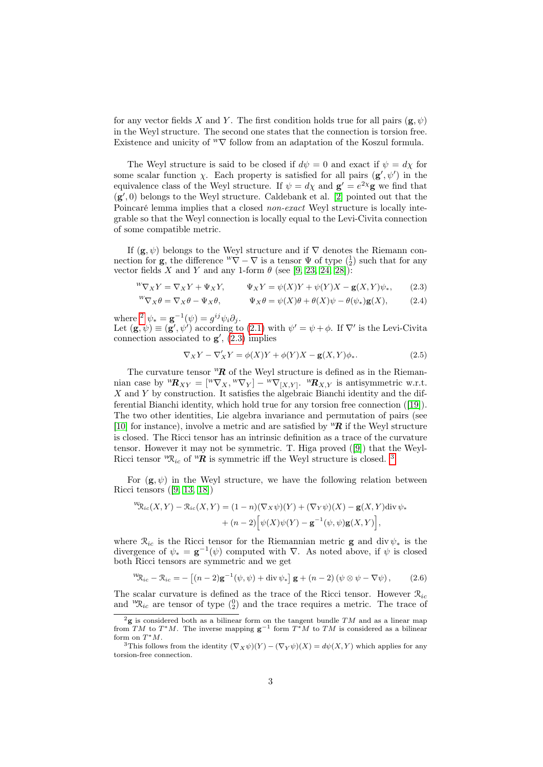for any vector fields X and Y. The first condition holds true for all pairs  $(g, \psi)$ in the Weyl structure. The second one states that the connection is torsion free. Existence and unicity of  $^W\nabla$  follow from an adaptation of the Koszul formula.

The Weyl structure is said to be closed if  $d\psi = 0$  and exact if  $\psi = d\chi$  for some scalar function  $\chi$ . Each property is satisfied for all pairs  $(g', \psi')$  in the equivalence class of the Weyl structure. If  $\psi = d\chi$  and  $\mathbf{g}' = e^{2\chi} \mathbf{g}$  we find that  $(g', 0)$  belongs to the Weyl structure. Caldebank et al. [\[2\]](#page-9-2) pointed out that the Poincaré lemma implies that a closed non-exact Weyl structure is locally integrable so that the Weyl connection is locally equal to the Levi-Civita connection of some compatible metric.

If  $(g, \psi)$  belongs to the Weyl structure and if  $\nabla$  denotes the Riemann connection for **g**, the difference  ${}^W \nabla - \nabla$  is a tensor  $\Psi$  of type  $\begin{pmatrix} 1 \\ 2 \end{pmatrix}$  such that for any vector fields X and Y and any 1-form  $\theta$  (see [\[9,](#page-10-5) [23,](#page-11-4) [24,](#page-11-1) [28\]](#page-11-3)):

$$
{}^{W}\nabla_{X}Y = \nabla_{X}Y + \Psi_{X}Y, \qquad \Psi_{X}Y = \psi(X)Y + \psi(Y)X - \mathbf{g}(X,Y)\psi_{*}, \qquad (2.3)
$$

$$
{}^{W}\nabla_{X}\theta = \nabla_{X}\theta - \Psi_{X}\theta, \qquad \Psi_{X}\theta = \psi(X)\theta + \theta(X)\psi - \theta(\psi_{*})\mathbf{g}(X), \qquad (2.4)
$$

where <sup>[2](#page-2-0)</sup>  $\psi_* = \mathbf{g}^{-1}(\psi) = g^{ij}\psi_i\partial_j$ .

Let  $(\mathbf{g}, \psi) \equiv (\mathbf{g}', \psi')$  according to [\(2.1\)](#page-1-1) with  $\psi' = \psi + \phi$ . If  $\nabla'$  is the Levi-Civita connection associated to  $g'$ ,  $(2.3)$  implies

<span id="page-2-1"></span>
$$
\nabla_X Y - \nabla'_X Y = \phi(X)Y + \phi(Y)X - \mathbf{g}(X,Y)\phi_*.
$$
\n(2.5)

The curvature tensor  ${}^w{\mathbf{R}}$  of the Weyl structure is defined as in the Riemannian case by  ${}^w{\mathbf R}_{XY} = [{}^w\nabla_X, {}^w\nabla_Y] - {}^w\nabla_{[X,Y]}$ .  ${}^w{\mathbf R}_{X,Y}$  is antisymmetric w.r.t.  $X$  and  $Y$  by construction. It satisfies the algebraic Bianchi identity and the differential Bianchi identity, which hold true for any torsion free connection ([\[19\]](#page-10-6)). The two other identities, Lie algebra invariance and permutation of pairs (see [\[10\]](#page-10-7) for instance), involve a metric and are satisfied by  ${}^{\nu}\mathbf{R}$  if the Weyl structure is closed. The Ricci tensor has an intrinsic definition as a trace of the curvature tensor. However it may not be symmetric. T. Higa proved ([\[9\]](#page-10-5)) that the Weyl-Ricci tensor  ${}^w\!R_i$  of  ${}^w\!R$  is symmetric iff the Weyl structure is closed. <sup>[3](#page-2-2)</sup>

For  $(g, \psi)$  in the Weyl structure, we have the following relation between Ricci tensors ([\[9,](#page-10-5) [13,](#page-10-8) [18\]](#page-10-9))

$$
\Psi_{\mathcal{R}_{ic}}(X,Y) - \mathcal{R}_{ic}(X,Y) = (1-n)(\nabla_X \psi)(Y) + (\nabla_Y \psi)(X) - \mathbf{g}(X,Y) \operatorname{div} \psi_* + (n-2) \Big[ \psi(X)\psi(Y) - \mathbf{g}^{-1}(\psi,\psi)\mathbf{g}(X,Y) \Big],
$$

where  $\mathcal{R}_{ic}$  is the Ricci tensor for the Riemannian metric **g** and div  $\psi_*$  is the divergence of  $\psi_* = \mathbf{g}^{-1}(\psi)$  computed with  $\nabla$ . As noted above, if  $\psi$  is closed both Ricci tensors are symmetric and we get

<span id="page-2-3"></span>
$$
{}^{W}\!\mathfrak{R}_{ic} - \mathfrak{R}_{ic} = -\left[ (n-2)\mathbf{g}^{-1}(\psi, \psi) + \mathrm{div}\,\psi_* \right] \mathbf{g} + (n-2)\left( \psi \otimes \psi - \nabla \psi \right),\tag{2.6}
$$

The scalar curvature is defined as the trace of the Ricci tensor. However  $\mathcal{R}_{ic}$ and  ${}^w\!{\cal R}_{ic}$  are tensor of type  $({}^0_2)$  and the trace requires a metric. The trace of

<span id="page-2-0"></span> $2g$  is considered both as a bilinear form on the tangent bundle  $TM$  and as a linear map from TM to T<sup>\*</sup>M. The inverse mapping  $g^{-1}$  form T<sup>\*</sup>M to TM is considered as a bilinear form on  $T^*M$ .

<span id="page-2-2"></span><sup>&</sup>lt;sup>3</sup>This follows from the identity  $(\nabla_X \psi)(Y) - (\nabla_Y \psi)(X) = d\psi(X, Y)$  which applies for any torsion-free connection.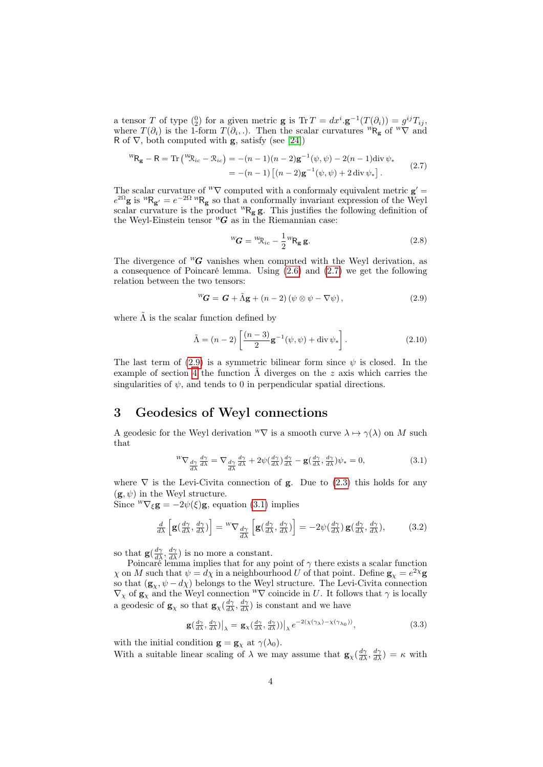a tensor T of type  $\binom{0}{2}$  for a given metric **g** is Tr  $T = dx^i \cdot \mathbf{g}^{-1}(T(\partial_i)) = g^{ij}T_{ij}$ , where  $T(\partial_i)$  is the 1-form  $T(\partial_i,.)$ . Then the scalar curvatures  ${}^wR_g$  of  ${}^w\nabla$  and R of  $\nabla$ , both computed with **g**, satisfy (see [\[24\]](#page-11-1))

$$
{}^{W}\mathbf{R}_{\mathbf{g}} - \mathbf{R} = \text{Tr}\left( {}^{W}\mathfrak{R}_{ic} - \mathfrak{R}_{ic} \right) = -(n-1)(n-2)\mathbf{g}^{-1}(\psi, \psi) - 2(n-1)\text{div}\,\psi_*
$$
  
= -(n-1) [(n-2)\mathbf{g}^{-1}(\psi, \psi) + 2\text{div}\,\psi\_\*]. (2.7)

The scalar curvature of <sup>*w*</sup> $\nabla$  computed with a conformaly equivalent metric  $\mathbf{g}' =$  $e^{2\Omega}$ g is <sup>W</sup>R<sub>g'</sub> =  $e^{-2\Omega}$ <sup>W</sup>R<sub>g</sub> so that a conformally invariant expression of the Weyl scalar curvature is the product  ${}^wR_g$ g. This justifies the following definition of the Weyl-Einstein tensor  $^wG$  as in the Riemannian case:

<span id="page-3-3"></span><span id="page-3-1"></span><span id="page-3-0"></span>
$$
{}^{W}\!G = {}^{W}\!R_{ic} - \frac{1}{2} {}^{W}\!R_{g} g. \qquad (2.8)
$$

The divergence of  ${}^W\!G$  vanishes when computed with the Weyl derivation, as a consequence of Poincaré lemma. Using [\(2.6\)](#page-2-3) and [\(2.7\)](#page-3-0) we get the following relation between the two tensors:

$$
{}^{W}\!G = G + \tilde{\Lambda}g + (n-2)(\psi \otimes \psi - \nabla \psi), \qquad (2.9)
$$

where  $\Lambda$  is the scalar function defined by

$$
\tilde{\Lambda} = (n-2) \left[ \frac{(n-3)}{2} \mathbf{g}^{-1}(\psi, \psi) + \operatorname{div} \psi_* \right]. \tag{2.10}
$$

The last term of [\(2.9\)](#page-3-1) is a symmetric bilinear form since  $\psi$  is closed. In the example of section [4](#page-4-0) the function  $\tilde{\Lambda}$  diverges on the z axis which carries the singularities of  $\psi$ , and tends to 0 in perpendicular spatial directions.

# 3 Geodesics of Weyl connections

A geodesic for the Weyl derivation  ${}^W\nabla$  is a smooth curve  $\lambda \mapsto \gamma(\lambda)$  on M such that

<span id="page-3-2"></span>
$$
{}^{W}\nabla_{\frac{d\gamma}{d\lambda}} \frac{d\gamma}{d\lambda} = \nabla_{\frac{d\gamma}{d\lambda}} \frac{d\gamma}{d\lambda} + 2\psi(\frac{d\gamma}{d\lambda})\frac{d\gamma}{d\lambda} - \mathbf{g}(\frac{d\gamma}{d\lambda}, \frac{d\gamma}{d\lambda})\psi_* = 0,
$$
\n(3.1)

where  $\nabla$  is the Levi-Civita connection of **g**. Due to [\(2.3\)](#page-2-1) this holds for any  $(\mathbf{g}, \psi)$  in the Weyl structure.

Since  ${}^W\nabla_{\xi}$ **g** =  $-2\psi(\xi)$ **g**, equation [\(3.1\)](#page-3-2) implies

$$
\frac{d}{d\lambda} \left[ \mathbf{g} \left( \frac{d\gamma}{d\lambda}, \frac{d\gamma}{d\lambda} \right) \right] = {}^{W}\nabla \, \underset{d\lambda}{d\gamma} \left[ \mathbf{g} \left( \frac{d\gamma}{d\lambda}, \frac{d\gamma}{d\lambda} \right) \right] = -2\psi \left( \frac{d\gamma}{d\lambda} \right) \mathbf{g} \left( \frac{d\gamma}{d\lambda}, \frac{d\gamma}{d\lambda} \right),\tag{3.2}
$$

so that  $\mathbf{g}(\frac{d\gamma}{d\lambda}, \frac{d\gamma}{d\lambda})$  is no more a constant.

Poincaré lemma implies that for any point of  $\gamma$  there exists a scalar function  $\chi$  on M such that  $\psi = d\chi$  in a neighbourhood U of that point. Define  $\mathbf{g}_{\chi} = e^{2\chi} \mathbf{g}$ so that  $(g_\chi, \psi - d\chi)$  belongs to the Weyl structure. The Levi-Civita connection  $\nabla_{\chi}$  of  $\mathbf{g}_{\chi}$  and the Weyl connection  ${}^W \nabla$  coincide in U. It follows that  $\gamma$  is locally a geodesic of  $\mathbf{g}_{\chi}$  so that  $\mathbf{g}_{\chi}(\frac{d\gamma}{d\lambda}, \frac{d\gamma}{d\lambda})$  is constant and we have

$$
\mathbf{g}\left(\frac{d\gamma}{d\lambda},\frac{d\gamma}{d\lambda}\right)\big|_{\lambda} = \mathbf{g}_{\chi}\left(\frac{d\gamma}{d\lambda},\frac{d\gamma}{d\lambda}\right)\big|\big|_{\lambda} e^{-2(\chi(\gamma_{\lambda}) - \chi(\gamma_{\lambda_0}))},\tag{3.3}
$$

with the initial condition  $\mathbf{g} = \mathbf{g}_{\chi}$  at  $\gamma(\lambda_0)$ .

With a suitable linear scaling of  $\lambda$  we may assume that  $\mathbf{g}_{\chi}(\frac{d\gamma}{d\lambda}, \frac{d\gamma}{d\lambda}) = \kappa$  with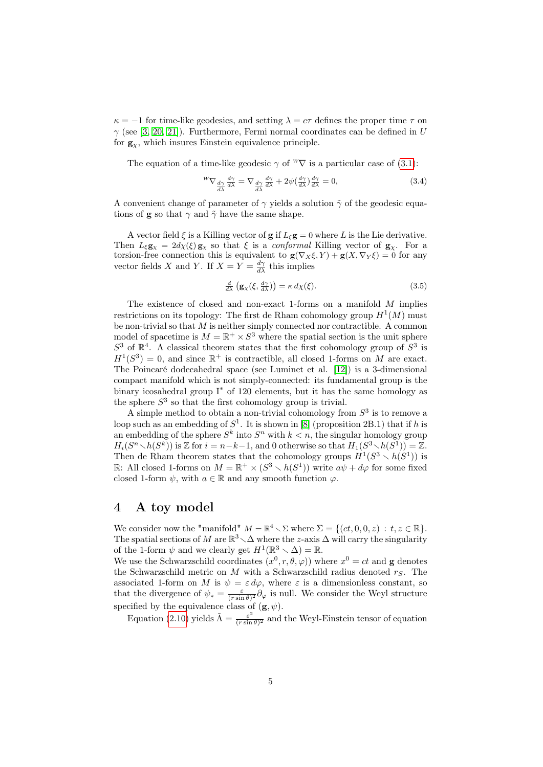$\kappa = -1$  for time-like geodesics, and setting  $\lambda = c\tau$  defines the proper time  $\tau$  on  $\gamma$  (see [\[3,](#page-9-3) [20,](#page-10-10) [21\]](#page-10-11)). Furthermore, Fermi normal coordinates can be defined in U for  $g_{\chi}$ , which insures Einstein equivalence principle.

The equation of a time-like geodesic  $\gamma$  of <sup>w</sup> $\nabla$  is a particular case of [\(3.1\)](#page-3-2):

<span id="page-4-2"></span>
$$
{}^{W}\nabla_{\frac{d\gamma}{d\lambda}}\frac{d\gamma}{d\lambda} = \nabla_{\frac{d\gamma}{d\lambda}}\frac{d\gamma}{d\lambda} + 2\psi(\frac{d\gamma}{d\lambda})\frac{d\gamma}{d\lambda} = 0,\tag{3.4}
$$

A convenient change of parameter of  $\gamma$  yields a solution  $\tilde{\gamma}$  of the geodesic equations of **g** so that  $\gamma$  and  $\tilde{\gamma}$  have the same shape.

A vector field  $\xi$  is a Killing vector of g if  $L_{\xi}$ g = 0 where L is the Lie derivative. Then  $L_{\xi} \mathbf{g}_{\chi} = 2d\chi(\xi) \mathbf{g}_{\chi}$  so that  $\xi$  is a *conformal* Killing vector of  $\mathbf{g}_{\chi}$ . For a torsion-free connection this is equivalent to  $\mathbf{g}(\nabla_X \xi, Y) + \mathbf{g}(X, \nabla_Y \xi) = 0$  for any vector fields X and Y. If  $X = Y = \frac{d\gamma}{d\lambda}$  this implies

<span id="page-4-1"></span>
$$
\frac{d}{d\lambda} \left( \mathbf{g}_{\chi}(\xi, \frac{d\gamma}{d\lambda}) \right) = \kappa \, d\chi(\xi). \tag{3.5}
$$

The existence of closed and non-exact 1-forms on a manifold  $M$  implies restrictions on its topology: The first de Rham cohomology group  $H^1(M)$  must be non-trivial so that  $M$  is neither simply connected nor contractible. A common model of spacetime is  $M = \mathbb{R}^+ \times S^3$  where the spatial section is the unit sphere  $S^3$  of  $\mathbb{R}^4$ . A classical theorem states that the first cohomology group of  $S^3$  is  $H^1(S^3) = 0$ , and since  $\mathbb{R}^+$  is contractible, all closed 1-forms on M are exact. The Poincaré dodecahedral space (see Luminet et al. [\[12\]](#page-10-12)) is a 3-dimensional compact manifold which is not simply-connected: its fundamental group is the binary icosahedral group I<sup>∗</sup> of 120 elements, but it has the same homology as the sphere  $S<sup>3</sup>$  so that the first cohomology group is trivial.

A simple method to obtain a non-trivial cohomology from  $S<sup>3</sup>$  is to remove a loop such as an embedding of  $S^1$ . It is shown in [\[8\]](#page-10-13) (proposition 2B.1) that if h is an embedding of the sphere  $S^k$  into  $S^n$  with  $k < n$ , the singular homology group  $H_i(S^n \setminus h(S^k))$  is Z for  $i = n-k-1$ , and 0 otherwise so that  $H_1(S^3 \setminus h(S^1)) = \mathbb{Z}$ . Then de Rham theorem states that the cohomology groups  $H^1(S^3 \setminus h(S^1))$  is R: All closed 1-forms on  $M = \mathbb{R}^+ \times (S^3 \setminus h(S^1))$  write  $a\psi + d\varphi$  for some fixed closed 1-form  $\psi$ , with  $a \in \mathbb{R}$  and any smooth function  $\varphi$ .

## <span id="page-4-0"></span>4 A toy model

We consider now the "manifold"  $M = \mathbb{R}^4 \setminus \Sigma$  where  $\Sigma = \{(ct, 0, 0, z) : t, z \in \mathbb{R}\}.$ The spatial sections of M are  $\mathbb{R}^3\setminus\Delta$  where the z-axis  $\Delta$  will carry the singularity of the 1-form  $\psi$  and we clearly get  $H^1(\mathbb{R}^3 \setminus \Delta) = \mathbb{R}$ .

We use the Schwarzschild coordinates  $(x^0, r, \theta, \varphi)$  where  $x^0 = ct$  and **g** denotes the Schwarzschild metric on  $M$  with a Schwarzschild radius denoted  $r_S$ . The associated 1-form on M is  $\psi = \varepsilon d\varphi$ , where  $\varepsilon$  is a dimensionless constant, so that the divergence of  $\psi_* = \frac{\varepsilon}{(r \sin \theta)^2} \partial_\varphi$  is null. We consider the Weyl structure specified by the equivalence class of  $(g, \psi)$ .

Equation [\(2.10\)](#page-3-3) yields  $\tilde{\Lambda} = \frac{\varepsilon^2}{(r \sin \theta)^2}$  $\frac{\varepsilon^2}{(r \sin \theta)^2}$  and the Weyl-Einstein tensor of equation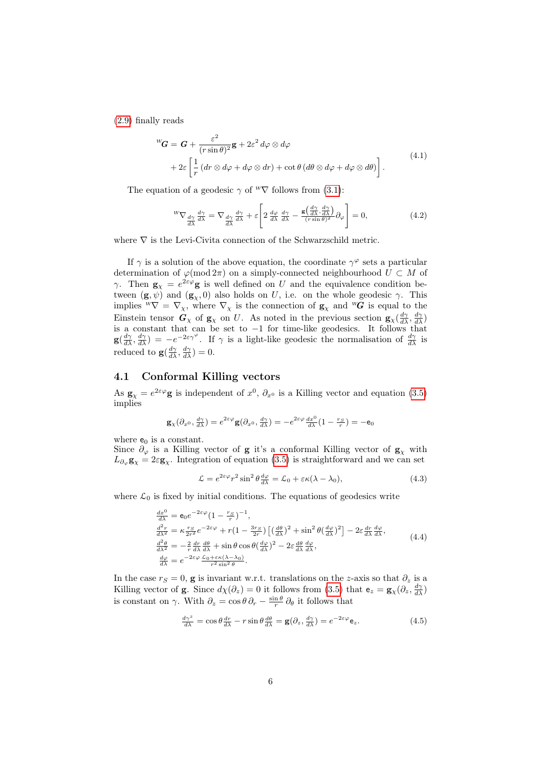[\(2.9\)](#page-3-1) finally reads

$$
{}^{W}\mathbf{G} = \mathbf{G} + \frac{\varepsilon^{2}}{(r\sin\theta)^{2}}\mathbf{g} + 2\varepsilon^{2} d\varphi \otimes d\varphi
$$
  
+ 
$$
2\varepsilon \left[ \frac{1}{r} \left( dr \otimes d\varphi + d\varphi \otimes dr \right) + \cot\theta \left( d\theta \otimes d\varphi + d\varphi \otimes d\theta \right) \right].
$$
 (4.1)

The equation of a geodesic  $\gamma$  of <sup>w</sup> $\nabla$  follows from [\(3.1\)](#page-3-2):

$$
{}^{W}\nabla_{\frac{d\gamma}{d\lambda}}\frac{d\gamma}{d\lambda} = \nabla_{\frac{d\gamma}{d\lambda}}\frac{d\gamma}{d\lambda} + \varepsilon \left[2\frac{d\varphi}{d\lambda}\frac{d\gamma}{d\lambda} - \frac{\mathbf{g}\left(\frac{d\gamma}{d\lambda}, \frac{d\gamma}{d\lambda}\right)}{(r\sin\theta)^2}\partial_{\varphi}\right] = 0,\tag{4.2}
$$

where  $\nabla$  is the Levi-Civita connection of the Schwarzschild metric.

If  $\gamma$  is a solution of the above equation, the coordinate  $\gamma^{\varphi}$  sets a particular determination of  $\varphi \pmod{2\pi}$  on a simply-connected neighbourhood  $U \subset M$  of γ. Then  $\mathbf{g}_{\chi} = e^{2\varepsilon \varphi} \mathbf{g}$  is well defined on U and the equivalence condition between  $(\mathbf{g}, \psi)$  and  $(\mathbf{g}_{\chi}, 0)$  also holds on U, i.e. on the whole geodesic  $\gamma$ . This implies  ${}^W \nabla = \nabla_{\chi}$ , where  $\nabla_{\chi}$  is the connection of  $\mathbf{g}_{\chi}$  and  ${}^W \! G$  is equal to the Einstein tensor  $G_\chi$  of  $g_\chi$  on U. As noted in the previous section  $g_\chi(\frac{d\gamma}{d\lambda}, \frac{d\gamma}{d\lambda})$ is a constant that can be set to −1 for time-like geodesics. It follows that  $\mathbf{g}(\frac{d\gamma}{d\lambda}, \frac{d\gamma}{d\lambda}) = -e^{-2\varepsilon\gamma^{\varphi}}$ . If  $\gamma$  is a light-like geodesic the normalisation of  $\frac{d\gamma}{d\lambda}$  is reduced to  $\mathbf{g}(\frac{d\gamma}{d\lambda}, \frac{d\gamma}{d\lambda}) = 0.$ 

## 4.1 Conformal Killing vectors

As  $\mathbf{g}_{\chi} = e^{2\varepsilon\varphi} \mathbf{g}$  is independent of  $x^0$ ,  $\partial_{x^0}$  is a Killing vector and equation [\(3.5\)](#page-4-1) implies

$$
\mathbf{g}_{\chi}(\partial_{x^0}, \frac{d\gamma}{d\lambda}) = e^{2\varepsilon\varphi}\mathbf{g}(\partial_{x^0}, \frac{d\gamma}{d\lambda}) = -e^{2\varepsilon\varphi}\frac{dx^0}{d\lambda}(1 - \frac{r_S}{r}) = -\mathbf{e}_0
$$

where  $e_0$  is a constant.

Since  $\partial_{\varphi}$  is a Killing vector of **g** it's a conformal Killing vector of  $\mathbf{g}_{\chi}$  with  $L_{\partial_{\varphi}}\mathbf{g}_{\chi} = 2\varepsilon \mathbf{g}_{\chi}$ . Integration of equation [\(3.5\)](#page-4-1) is straightforward and we can set

<span id="page-5-0"></span>
$$
\mathcal{L} = e^{2\varepsilon\varphi}r^2 \sin^2 \theta \frac{d\varphi}{d\lambda} = \mathcal{L}_0 + \varepsilon \kappa (\lambda - \lambda_0), \tag{4.3}
$$

where  $\mathcal{L}_0$  is fixed by initial conditions. The equations of geodesics write

$$
\frac{dx^{0}}{d\lambda} = \mathbf{e}_{0}e^{-2\varepsilon\varphi}(1 - \frac{r_{S}}{r})^{-1},
$$
\n
$$
\frac{d^{2}r}{d\lambda^{2}} = \kappa \frac{r_{S}}{2r^{2}}e^{-2\varepsilon\varphi} + r(1 - \frac{3r_{S}}{2r})\left[\left(\frac{d\theta}{d\lambda}\right)^{2} + \sin^{2}\theta\left(\frac{d\varphi}{d\lambda}\right)^{2}\right] - 2\varepsilon \frac{dr}{d\lambda}\frac{d\varphi}{d\lambda},
$$
\n
$$
\frac{d^{2}\theta}{d\lambda^{2}} = -\frac{2}{r}\frac{dr}{d\lambda}\frac{d\theta}{d\lambda} + \sin\theta\cos\theta\left(\frac{d\varphi}{d\lambda}\right)^{2} - 2\varepsilon\frac{d\theta}{d\lambda}\frac{d\varphi}{d\lambda},
$$
\n
$$
\frac{d\varphi}{d\lambda} = e^{-2\varepsilon\varphi}\frac{\mathcal{L}_{0} + \varepsilon\kappa(\lambda - \lambda_{0})}{r^{2}\sin^{2}\theta}.
$$
\n(4.4)

In the case  $r_S = 0$ , g is invariant w.r.t. translations on the z-axis so that  $\partial_z$  is a Killing vector of **g**. Since  $d\chi(\partial_z) = 0$  it follows from [\(3.5\)](#page-4-1) that  $e_z = g_\chi(\partial_z, \frac{d\gamma}{d\lambda})$ is constant on  $\gamma$ . With  $\partial_z = \cos \theta \, \partial_r - \frac{\sin \theta}{r} \, \partial_\theta$  it follows that

<span id="page-5-1"></span>
$$
\frac{d\gamma^z}{d\lambda} = \cos\theta \frac{dr}{d\lambda} - r\sin\theta \frac{d\theta}{d\lambda} = \mathbf{g}(\partial_z, \frac{d\gamma}{d\lambda}) = e^{-2\varepsilon\varphi} \mathbf{e}_z.
$$
 (4.5)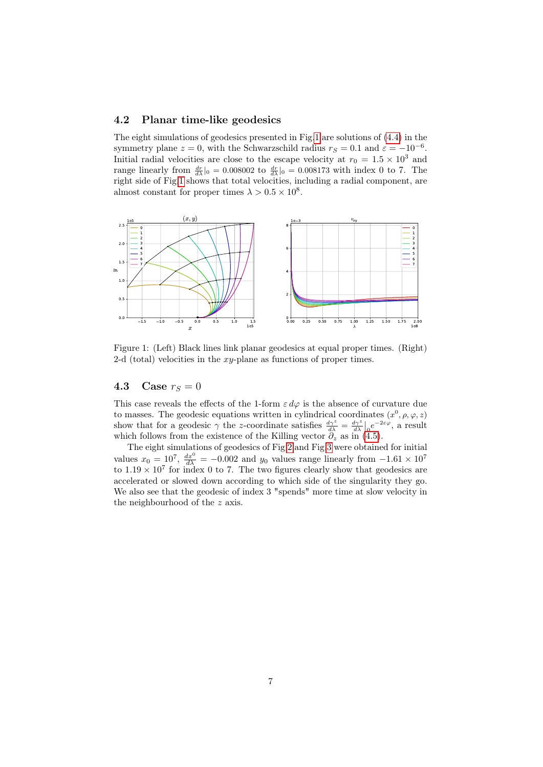#### 4.2 Planar time-like geodesics

The eight simulations of geodesics presented in Fig[.1](#page-6-0) are solutions of [\(4.4\)](#page-5-0) in the symmetry plane  $z = 0$ , with the Schwarzschild radius  $r_S = 0.1$  and  $\varepsilon = -10^{-6}$ . Initial radial velocities are close to the escape velocity at  $r_0 = 1.5 \times 10^3$  and range linearly from  $\frac{dr}{d\lambda}|_0 = 0.008002$  to  $\frac{dr}{d\lambda}|_0 = 0.008173$  with index 0 to 7. The right side of Fig[.1](#page-6-0) shows that total velocities, including a radial component, are almost constant for proper times  $\lambda > 0.5 \times 10^8$ .



<span id="page-6-0"></span>Figure 1: (Left) Black lines link planar geodesics at equal proper times. (Right) 2-d (total) velocities in the  $xy$ -plane as functions of proper times.

## <span id="page-6-1"></span>4.3 Case  $r_S = 0$

This case reveals the effects of the 1-form  $\varepsilon d\varphi$  is the absence of curvature due to masses. The geodesic equations written in cylindrical coordinates  $(x^0, \rho, \varphi, z)$ show that for a geodesic  $\gamma$  the z-coordinate satisfies  $\frac{d\gamma^z}{d\lambda} = \frac{d\gamma^z}{d\lambda}\Big|_0 e^{-2\varepsilon\varphi}$ , a result which follows from the existence of the Killing vector  $\partial_z$  as in [\(4.5\)](#page-5-1).

The eight simulations of geodesics of Fig[.2](#page-7-0) and Fig[.3](#page-7-1) were obtained for initial values  $x_0 = 10^7$ ,  $\frac{dx^0}{d\lambda} = -0.002$  and  $y_0$  values range linearly from  $-1.61 \times 10^7$ to  $1.19 \times 10^7$  for index 0 to 7. The two figures clearly show that geodesics are accelerated or slowed down according to which side of the singularity they go. We also see that the geodesic of index 3 "spends" more time at slow velocity in the neighbourhood of the z axis.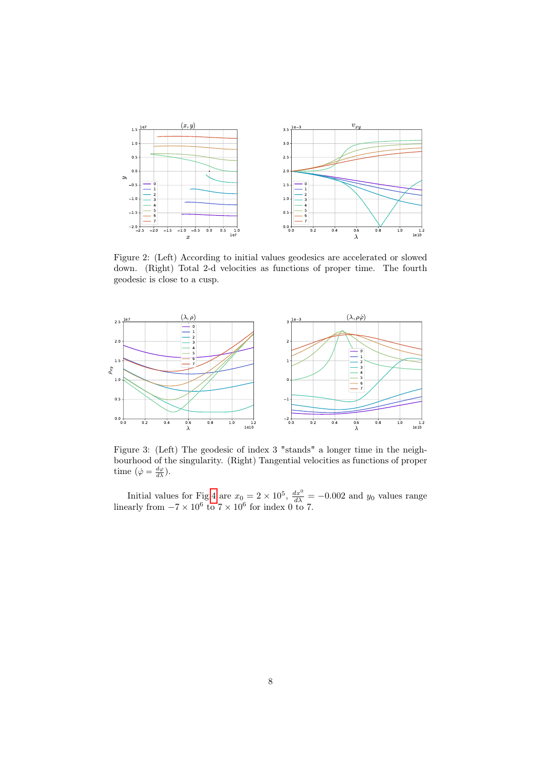

<span id="page-7-0"></span>Figure 2: (Left) According to initial values geodesics are accelerated or slowed down. (Right) Total 2-d velocities as functions of proper time. The fourth geodesic is close to a cusp.



<span id="page-7-1"></span>Figure 3: (Left) The geodesic of index 3 "stands" a longer time in the neighbourhood of the singularity. (Right) Tangential velocities as functions of proper time  $(\dot{\varphi} = \frac{d\varphi}{d\lambda})$ .

Initial values for Fig[.4](#page-8-0) are  $x_0 = 2 \times 10^5$ ,  $\frac{dx^0}{d\lambda} = -0.002$  and  $y_0$  values range linearly from  $-7 \times 10^6$  to  $7 \times 10^6$  for index 0 to 7.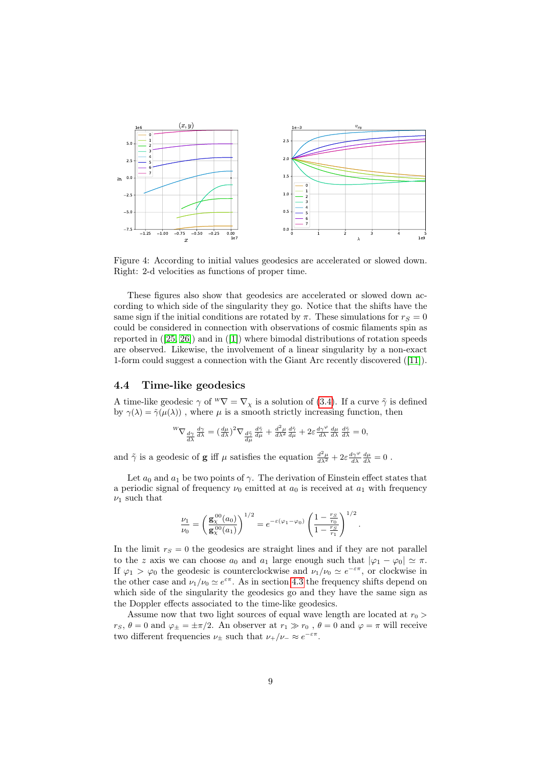

<span id="page-8-0"></span>Figure 4: According to initial values geodesics are accelerated or slowed down. Right: 2-d velocities as functions of proper time.

These figures also show that geodesics are accelerated or slowed down according to which side of the singularity they go. Notice that the shifts have the same sign if the initial conditions are rotated by  $\pi$ . These simulations for  $r_S = 0$ could be considered in connection with observations of cosmic filaments spin as reported in ([\[25,](#page-11-5) [26\]](#page-11-6)) and in ([\[1\]](#page-9-4)) where bimodal distributions of rotation speeds are observed. Likewise, the involvement of a linear singularity by a non-exact 1-form could suggest a connection with the Giant Arc recently discovered ([\[11\]](#page-10-14)).

### 4.4 Time-like geodesics

A time-like geodesic  $\gamma$  of  $^W\nabla = \nabla_{\chi}$  is a solution of [\(3.4\)](#page-4-2). If a curve  $\tilde{\gamma}$  is defined by  $\gamma(\lambda) = \tilde{\gamma}(\mu(\lambda))$ , where  $\mu$  is a smooth strictly increasing function, then

$$
{}^{W}\nabla_{\frac{d\gamma}{d\lambda}}\frac{d\gamma}{d\lambda} = \left(\frac{d\mu}{d\lambda}\right)^2 \nabla_{\frac{d\tilde{\gamma}}{d\mu}}\frac{d\tilde{\gamma}}{d\mu} + \frac{d^2\mu}{d\lambda^2}\frac{d\tilde{\gamma}}{d\mu} + 2\varepsilon \frac{d\gamma^{\varphi}}{d\lambda}\frac{d\mu}{d\lambda}\frac{d\tilde{\gamma}}{d\lambda} = 0,
$$

and  $\tilde{\gamma}$  is a geodesic of **g** iff  $\mu$  satisfies the equation  $\frac{d^2\mu}{d\lambda^2} + 2\varepsilon \frac{d\gamma^{\varphi}}{d\lambda} \frac{d\mu}{d\lambda} = 0$ .

Let  $a_0$  and  $a_1$  be two points of  $\gamma$ . The derivation of Einstein effect states that a periodic signal of frequency  $\nu_0$  emitted at  $a_0$  is received at  $a_1$  with frequency  $\nu_1$  such that

$$
\frac{\nu_1}{\nu_0} = \left(\frac{\mathbf{g}_{\chi}^{00}(a_0)}{\mathbf{g}_{\chi}^{00}(a_1)}\right)^{1/2} = e^{-\varepsilon(\varphi_1 - \varphi_0)} \left(\frac{1 - \frac{r_S}{r_0}}{1 - \frac{r_S}{r_1}}\right)^{1/2}.
$$

In the limit  $r_S = 0$  the geodesics are straight lines and if they are not parallel to the z axis we can choose  $a_0$  and  $a_1$  large enough such that  $|\varphi_1 - \varphi_0| \simeq \pi$ . If  $\varphi_1 > \varphi_0$  the geodesic is counterclockwise and  $\nu_1/\nu_0 \simeq e^{-\varepsilon \pi}$ , or clockwise in the other case and  $\nu_1/\nu_0 \simeq e^{\varepsilon \pi}$ . As in section [4.3](#page-6-1) the frequency shifts depend on which side of the singularity the geodesics go and they have the same sign as the Doppler effects associated to the time-like geodesics.

Assume now that two light sources of equal wave length are located at  $r_0$  >  $r_S, \theta = 0$  and  $\varphi_{\pm} = \pm \pi/2$ . An observer at  $r_1 \gg r_0$ ,  $\theta = 0$  and  $\varphi = \pi$  will receive two different frequencies  $\nu_{\pm}$  such that  $\nu_{+}/\nu_{-} \approx e^{-\varepsilon \pi}$ .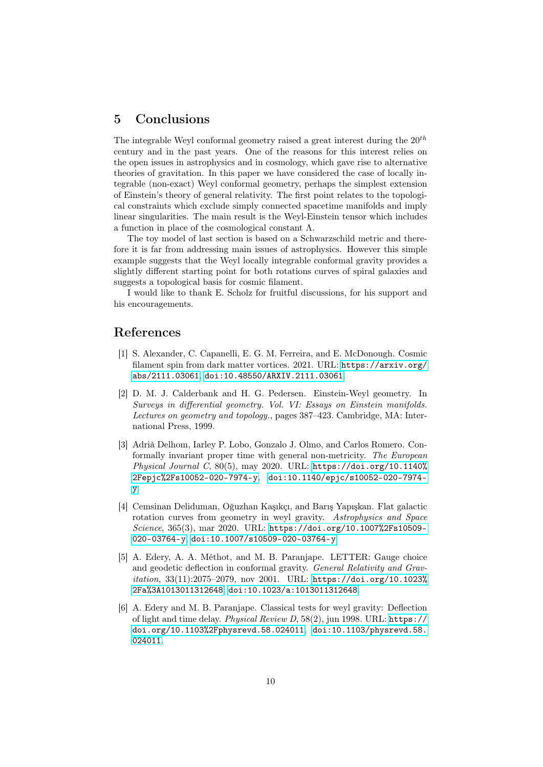# 5 Conclusions

The integrable Weyl conformal geometry raised a great interest during the  $20^{th}$ century and in the past years. One of the reasons for this interest relies on the open issues in astrophysics and in cosmology, which gave rise to alternative theories of gravitation. In this paper we have considered the case of locally integrable (non-exact) Weyl conformal geometry, perhaps the simplest extension of Einstein's theory of general relativity. The first point relates to the topological constraints which exclude simply connected spacetime manifolds and imply linear singularities. The main result is the Weyl-Einstein tensor which includes a function in place of the cosmological constant Λ.

The toy model of last section is based on a Schwarzschild metric and therefore it is far from addressing main issues of astrophysics. However this simple example suggests that the Weyl locally integrable conformal gravity provides a slightly different starting point for both rotations curves of spiral galaxies and suggests a topological basis for cosmic filament.

I would like to thank E. Scholz for fruitful discussions, for his support and his encouragements.

## References

- <span id="page-9-4"></span>[1] S. Alexander, C. Capanelli, E. G. M. Ferreira, and E. McDonough. Cosmic filament spin from dark matter vortices. 2021. URL: [https://arxiv.org/](https://arxiv.org/abs/2111.03061) [abs/2111.03061](https://arxiv.org/abs/2111.03061), [doi:10.48550/ARXIV.2111.03061](https://doi.org/10.48550/ARXIV.2111.03061).
- <span id="page-9-2"></span>[2] D. M. J. Calderbank and H. G. Pedersen. Einstein-Weyl geometry. In Surveys in differential geometry. Vol. VI: Essays on Einstein manifolds. Lectures on geometry and topology., pages 387–423. Cambridge, MA: International Press, 1999.
- <span id="page-9-3"></span>[3] Adrià Delhom, Iarley P. Lobo, Gonzalo J. Olmo, and Carlos Romero. Conformally invariant proper time with general non-metricity. The European Physical Journal C,  $80(5)$ , may 2020. URL: [https://doi.org/10.1140%](https://doi.org/10.1140%2Fepjc%2Fs10052-020-7974-y) [2Fepjc%2Fs10052-020-7974-y](https://doi.org/10.1140%2Fepjc%2Fs10052-020-7974-y), [doi:10.1140/epjc/s10052-020-7974](https://doi.org/10.1140/epjc/s10052-020-7974-y) [y](https://doi.org/10.1140/epjc/s10052-020-7974-y).
- <span id="page-9-0"></span>[4] Cemsinan Deliduman, Oğuzhan Kaşıkçı, and Barış Yapışkan. Flat galactic rotation curves from geometry in weyl gravity. Astrophysics and Space Science, 365(3), mar 2020. URL: [https://doi.org/10.1007%2Fs10509-](https://doi.org/10.1007%2Fs10509-020-03764-y) [020-03764-y](https://doi.org/10.1007%2Fs10509-020-03764-y), [doi:10.1007/s10509-020-03764-y](https://doi.org/10.1007/s10509-020-03764-y).
- <span id="page-9-1"></span>[5] A. Edery, A. A. Méthot, and M. B. Paranjape. LETTER: Gauge choice and geodetic deflection in conformal gravity. General Relativity and Gravitation, 33(11):2075–2079, nov 2001. URL: [https://doi.org/10.1023%](https://doi.org/10.1023%2Fa%3A1013011312648) [2Fa%3A1013011312648](https://doi.org/10.1023%2Fa%3A1013011312648), [doi:10.1023/a:1013011312648](https://doi.org/10.1023/a:1013011312648).
- [6] A. Edery and M. B. Paranjape. Classical tests for weyl gravity: Deflection of light and time delay. Physical Review D, 58(2), jun 1998. URL: [https://](https://doi.org/10.1103%2Fphysrevd.58.024011) [doi.org/10.1103%2Fphysrevd.58.024011](https://doi.org/10.1103%2Fphysrevd.58.024011), [doi:10.1103/physrevd.58.](https://doi.org/10.1103/physrevd.58.024011) [024011](https://doi.org/10.1103/physrevd.58.024011).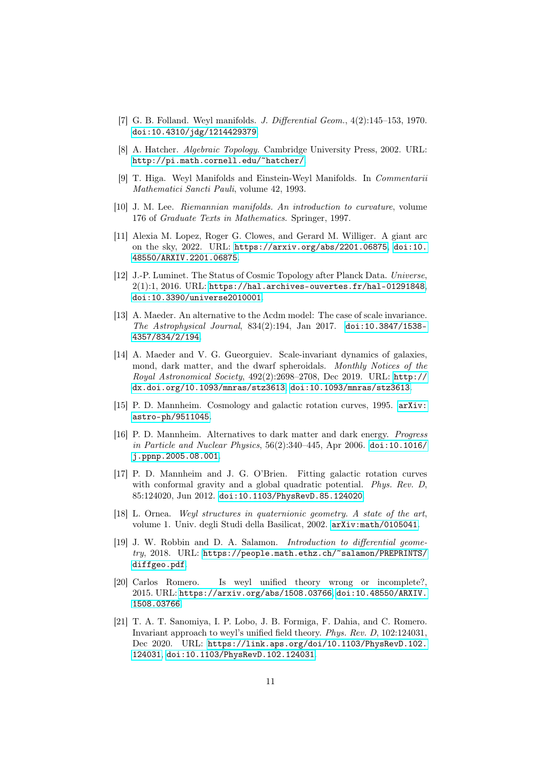- <span id="page-10-4"></span>[7] G. B. Folland. Weyl manifolds. J. Differential Geom., 4(2):145–153, 1970. [doi:10.4310/jdg/1214429379](https://doi.org/10.4310/jdg/1214429379).
- <span id="page-10-13"></span>[8] A. Hatcher. Algebraic Topology. Cambridge University Press, 2002. URL: <http://pi.math.cornell.edu/~hatcher/>.
- <span id="page-10-5"></span>[9] T. Higa. Weyl Manifolds and Einstein-Weyl Manifolds. In Commentarii Mathematici Sancti Pauli, volume 42, 1993.
- <span id="page-10-7"></span>[10] J. M. Lee. Riemannian manifolds. An introduction to curvature, volume 176 of Graduate Texts in Mathematics. Springer, 1997.
- <span id="page-10-14"></span>[11] Alexia M. Lopez, Roger G. Clowes, and Gerard M. Williger. A giant arc on the sky, 2022. URL: <https://arxiv.org/abs/2201.06875>, [doi:10.](https://doi.org/10.48550/ARXIV.2201.06875) [48550/ARXIV.2201.06875](https://doi.org/10.48550/ARXIV.2201.06875).
- <span id="page-10-12"></span>[12] J.-P. Luminet. The Status of Cosmic Topology after Planck Data. Universe,  $2(1):1$ ,  $2016$ . URL: <https://hal.archives-ouvertes.fr/hal-01291848>, [doi:10.3390/universe2010001](https://doi.org/10.3390/universe2010001).
- <span id="page-10-8"></span>[13] A. Maeder. An alternative to the Λcdm model: The case of scale invariance. The Astrophysical Journal, 834(2):194, Jan 2017. [doi:10.3847/1538-](https://doi.org/10.3847/1538-4357/834/2/194) [4357/834/2/194](https://doi.org/10.3847/1538-4357/834/2/194).
- <span id="page-10-0"></span>[14] A. Maeder and V. G. Gueorguiev. Scale-invariant dynamics of galaxies, mond, dark matter, and the dwarf spheroidals. Monthly Notices of the Royal Astronomical Society, 492(2):2698–2708, Dec 2019. URL: [http://](http://dx.doi.org/10.1093/mnras/stz3613) [dx.doi.org/10.1093/mnras/stz3613](http://dx.doi.org/10.1093/mnras/stz3613), [doi:10.1093/mnras/stz3613](https://doi.org/10.1093/mnras/stz3613).
- <span id="page-10-1"></span>[15] P. D. Mannheim. Cosmology and galactic rotation curves, 1995. [arXiv:](http://arxiv.org/abs/astro-ph/9511045) [astro-ph/9511045](http://arxiv.org/abs/astro-ph/9511045).
- <span id="page-10-2"></span>[16] P. D. Mannheim. Alternatives to dark matter and dark energy. Progress in Particle and Nuclear Physics, 56(2):340–445, Apr 2006. [doi:10.1016/](https://doi.org/10.1016/j.ppnp.2005.08.001) [j.ppnp.2005.08.001](https://doi.org/10.1016/j.ppnp.2005.08.001).
- <span id="page-10-3"></span>[17] P. D. Mannheim and J. G. O'Brien. Fitting galactic rotation curves with conformal gravity and a global quadratic potential. *Phys. Rev. D*, 85:124020, Jun 2012. [doi:10.1103/PhysRevD.85.124020](https://doi.org/10.1103/PhysRevD.85.124020).
- <span id="page-10-9"></span>[18] L. Ornea. Weyl structures in quaternionic geometry. A state of the art, volume 1. Univ. degli Studi della Basilicat, 2002. [arXiv:math/0105041](http://arxiv.org/abs/math/0105041).
- <span id="page-10-6"></span>[19] J. W. Robbin and D. A. Salamon. *Introduction to differential geome*try, 2018. URL: [https://people.math.ethz.ch/~salamon/PREPRINTS/](https://people.math.ethz.ch/~salamon/PREPRINTS/diffgeo.pdf) [diffgeo.pdf](https://people.math.ethz.ch/~salamon/PREPRINTS/diffgeo.pdf).
- <span id="page-10-10"></span>[20] Carlos Romero. Is weyl unified theory wrong or incomplete?, 2015. URL: <https://arxiv.org/abs/1508.03766>, [doi:10.48550/ARXIV.](https://doi.org/10.48550/ARXIV.1508.03766) [1508.03766](https://doi.org/10.48550/ARXIV.1508.03766).
- <span id="page-10-11"></span>[21] T. A. T. Sanomiya, I. P. Lobo, J. B. Formiga, F. Dahia, and C. Romero. Invariant approach to weyl's unified field theory. Phys. Rev. D, 102:124031, Dec 2020. URL: [https://link.aps.org/doi/10.1103/PhysRevD.102.](https://link.aps.org/doi/10.1103/PhysRevD.102.124031) [124031](https://link.aps.org/doi/10.1103/PhysRevD.102.124031), [doi:10.1103/PhysRevD.102.124031](https://doi.org/10.1103/PhysRevD.102.124031).